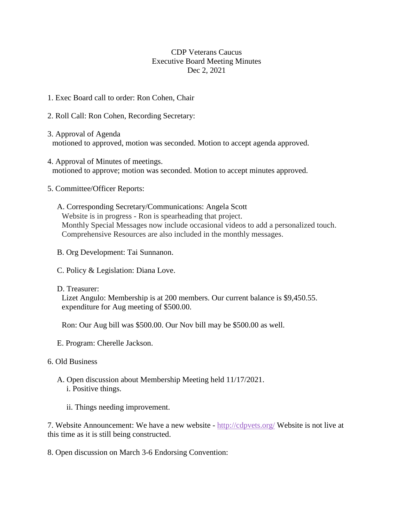## CDP Veterans Caucus Executive Board Meeting Minutes Dec 2, 2021

- 1. Exec Board call to order: Ron Cohen, Chair
- 2. Roll Call: Ron Cohen, Recording Secretary:
- 3. Approval of Agenda motioned to approved, motion was seconded. Motion to accept agenda approved.
- 4. Approval of Minutes of meetings. motioned to approve; motion was seconded. Motion to accept minutes approved.
- 5. Committee/Officer Reports:

A. Corresponding Secretary/Communications: Angela Scott Website is in progress - Ron is spearheading that project. Monthly Special Messages now include occasional videos to add a personalized touch. Comprehensive Resources are also included in the monthly messages.

B. Org Development: Tai Sunnanon.

- C. Policy & Legislation: Diana Love.
- D. Treasurer:

Lizet Angulo: Membership is at 200 members. Our current balance is \$9,450.55. expenditure for Aug meeting of \$500.00.

Ron: Our Aug bill was \$500.00. Our Nov bill may be \$500.00 as well.

- E. Program: Cherelle Jackson.
- 6. Old Business
	- A. Open discussion about Membership Meeting held 11/17/2021. i. Positive things.
		- ii. Things needing improvement.

7. Website Announcement: We have a new website - <http://cdpvets.org/> Website is not live at this time as it is still being constructed.

8. Open discussion on March 3-6 Endorsing Convention: